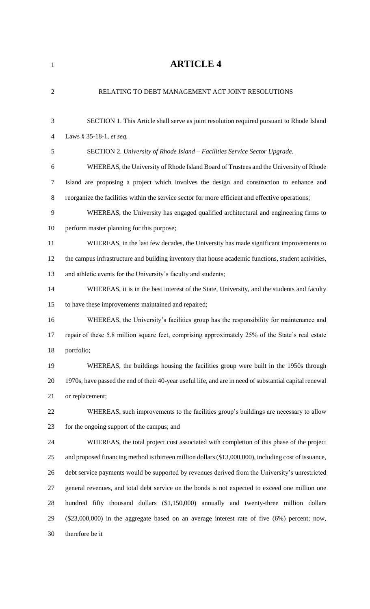| $\overline{2}$ | RELATING TO DEBT MANAGEMENT ACT JOINT RESOLUTIONS                                                       |
|----------------|---------------------------------------------------------------------------------------------------------|
|                |                                                                                                         |
| 3              | SECTION 1. This Article shall serve as joint resolution required pursuant to Rhode Island               |
| $\overline{4}$ | Laws § 35-18-1, et seq.                                                                                 |
| 5              | SECTION 2. University of Rhode Island - Facilities Service Sector Upgrade.                              |
| 6              | WHEREAS, the University of Rhode Island Board of Trustees and the University of Rhode                   |
| $\overline{7}$ | Island are proposing a project which involves the design and construction to enhance and                |
| 8              | reorganize the facilities within the service sector for more efficient and effective operations;        |
| 9              | WHEREAS, the University has engaged qualified architectural and engineering firms to                    |
| 10             | perform master planning for this purpose;                                                               |
| 11             | WHEREAS, in the last few decades, the University has made significant improvements to                   |
| 12             | the campus infrastructure and building inventory that house academic functions, student activities,     |
| 13             | and athletic events for the University's faculty and students;                                          |
| 14             | WHEREAS, it is in the best interest of the State, University, and the students and faculty              |
| 15             | to have these improvements maintained and repaired;                                                     |
| 16             | WHEREAS, the University's facilities group has the responsibility for maintenance and                   |
| 17             | repair of these 5.8 million square feet, comprising approximately 25% of the State's real estate        |
| 18             | portfolio;                                                                                              |
| 19             | WHEREAS, the buildings housing the facilities group were built in the 1950s through                     |
| 20             | 1970s, have passed the end of their 40-year useful life, and are in need of substantial capital renewal |
| 21             | or replacement;                                                                                         |
| 22             | WHEREAS, such improvements to the facilities group's buildings are necessary to allow                   |
| 23             | for the ongoing support of the campus; and                                                              |
| 24             | WHEREAS, the total project cost associated with completion of this phase of the project                 |
| 25             | and proposed financing method is thirteen million dollars (\$13,000,000), including cost of issuance,   |
| 26             | debt service payments would be supported by revenues derived from the University's unrestricted         |
| 27             | general revenues, and total debt service on the bonds is not expected to exceed one million one         |
| 28             | hundred fifty thousand dollars (\$1,150,000) annually and twenty-three million dollars                  |
| 29             | $(\$23,000,000)$ in the aggregate based on an average interest rate of five $(6%)$ percent; now,        |
| 30             | therefore be it                                                                                         |
|                |                                                                                                         |

**ARTICLE 4**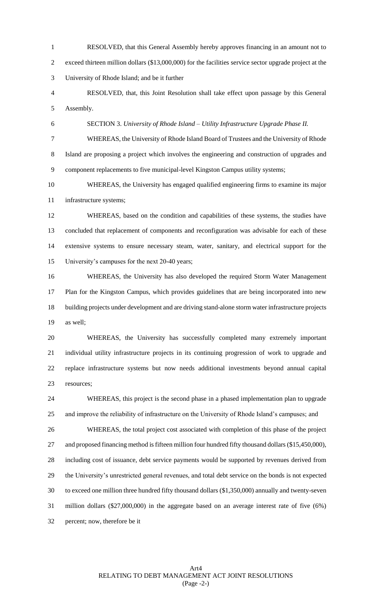RESOLVED, that this General Assembly hereby approves financing in an amount not to exceed thirteen million dollars (\$13,000,000) for the facilities service sector upgrade project at the University of Rhode Island; and be it further

 RESOLVED, that, this Joint Resolution shall take effect upon passage by this General Assembly.

SECTION 3. *University of Rhode Island – Utility Infrastructure Upgrade Phase II.* 

 WHEREAS, the University of Rhode Island Board of Trustees and the University of Rhode Island are proposing a project which involves the engineering and construction of upgrades and component replacements to five municipal-level Kingston Campus utility systems;

 WHEREAS, the University has engaged qualified engineering firms to examine its major infrastructure systems;

 WHEREAS, based on the condition and capabilities of these systems, the studies have concluded that replacement of components and reconfiguration was advisable for each of these extensive systems to ensure necessary steam, water, sanitary, and electrical support for the University's campuses for the next 20-40 years;

 WHEREAS, the University has also developed the required Storm Water Management Plan for the Kingston Campus, which provides guidelines that are being incorporated into new building projects under development and are driving stand-alone storm water infrastructure projects as well;

 WHEREAS, the University has successfully completed many extremely important individual utility infrastructure projects in its continuing progression of work to upgrade and replace infrastructure systems but now needs additional investments beyond annual capital resources;

 WHEREAS, this project is the second phase in a phased implementation plan to upgrade and improve the reliability of infrastructure on the University of Rhode Island's campuses; and

 WHEREAS, the total project cost associated with completion of this phase of the project and proposed financing method is fifteen million four hundred fifty thousand dollars (\$15,450,000), including cost of issuance, debt service payments would be supported by revenues derived from the University's unrestricted general revenues, and total debt service on the bonds is not expected to exceed one million three hundred fifty thousand dollars (\$1,350,000) annually and twenty-seven million dollars (\$27,000,000) in the aggregate based on an average interest rate of five (6%) percent; now, therefore be it